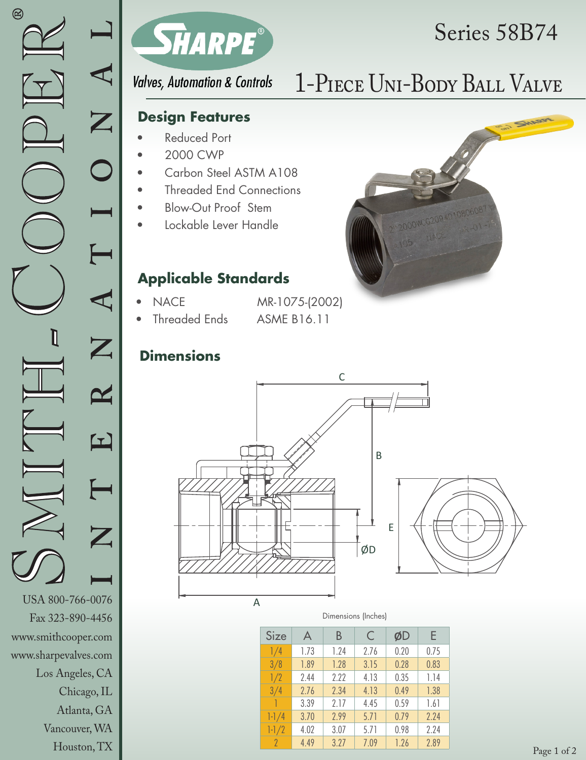

## Series 58B74

**Valves, Automation & Controls** 

### **Design Features**

- Reduced Port
- 2000 CWP
- Carbon Steel ASTM A108
- Threaded End Connections
- Blow-Out Proof Stem
- Lockable Lever Handle

### **Applicable Standards**

- NACE MR-1075-(2002)
	-
	- Threaded Ends ASME B16.11

### **Dimensions**



| Size      | A    | В    | C    | ØD   | F    |
|-----------|------|------|------|------|------|
| 1/4       | 1.73 | 1.24 | 2.76 | 0.20 | 0.75 |
| 3/8       | 1.89 | 1.28 | 3.15 | 0.28 | 0.83 |
| 1/2       | 2.44 | 2.22 | 4.13 | 0.35 | 1.14 |
| 3/4       | 2.76 | 2.34 | 4.13 | 0.49 | 1.38 |
| ♦         | 3.39 | 2.17 | 4.45 | 0.59 | 1.61 |
| $1 - 1/4$ | 3.70 | 299  | 5.71 | 0.79 | 7.74 |
| $1 - 1/2$ | 4.02 | 3.07 | 5.71 | 0.98 | 2.24 |
| $\gamma$  | 4.49 | 3.27 | 7.09 | 1.26 | 2.89 |

# 1-Piece Uni-Body Ball Valve